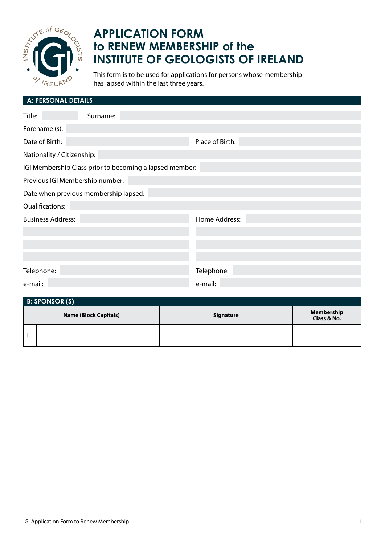

## **APPLICATION FORM to RENEW MEMBERSHIP of the INSTITUTE OF GEOLOGISTS OF IRELAND**

This form is to be used for applications for persons whose membership has lapsed within the last three years.

| <b>A: PERSONAL DETAILS</b>                              |          |                 |  |  |
|---------------------------------------------------------|----------|-----------------|--|--|
| Title:                                                  | Surname: |                 |  |  |
| Forename (s):                                           |          |                 |  |  |
| Date of Birth:                                          |          | Place of Birth: |  |  |
| Nationality / Citizenship:                              |          |                 |  |  |
| IGI Membership Class prior to becoming a lapsed member: |          |                 |  |  |
| Previous IGI Membership number:                         |          |                 |  |  |
| Date when previous membership lapsed:                   |          |                 |  |  |
| Qualifications:                                         |          |                 |  |  |
| <b>Business Address:</b>                                |          | Home Address:   |  |  |
|                                                         |          |                 |  |  |
|                                                         |          |                 |  |  |
|                                                         |          |                 |  |  |
| Telephone:                                              |          | Telephone:      |  |  |
| e-mail:                                                 |          | e-mail:         |  |  |

| <b>B: SPONSOR (S)</b>        |  |                  |                                  |  |
|------------------------------|--|------------------|----------------------------------|--|
| <b>Name (Block Capitals)</b> |  | <b>Signature</b> | <b>Membership</b><br>Class & No. |  |
| . .                          |  |                  |                                  |  |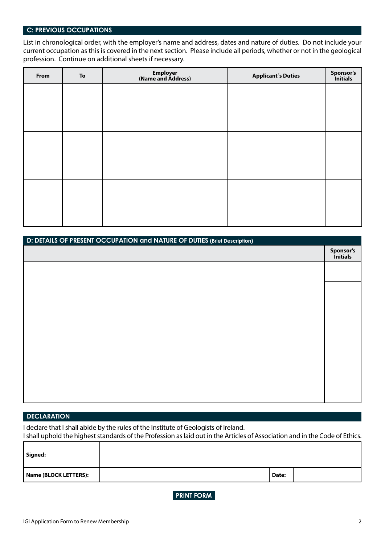## **C: PREVIOUS OCCUPATIONS**

List in chronological order, with the employer's name and address, dates and nature of duties. Do not include your current occupation as this is covered in the next section. Please include all periods, whether or not in the geological profession. Continue on additional sheets if necessary.

| From | To | Employer<br>(Name and Address) | <b>Applicant's Duties</b> | Sponsor's<br>Initials |
|------|----|--------------------------------|---------------------------|-----------------------|
|      |    |                                |                           |                       |
|      |    |                                |                           |                       |
|      |    |                                |                           |                       |
|      |    |                                |                           |                       |
|      |    |                                |                           |                       |
|      |    |                                |                           |                       |
|      |    |                                |                           |                       |
|      |    |                                |                           |                       |
|      |    |                                |                           |                       |

| D: DETAILS OF PRESENT OCCUPATION and NATURE OF DUTIES (Brief Description) |                       |  |
|---------------------------------------------------------------------------|-----------------------|--|
|                                                                           | Sponsor's<br>Initials |  |
|                                                                           |                       |  |
|                                                                           |                       |  |
|                                                                           |                       |  |
|                                                                           |                       |  |
|                                                                           |                       |  |
|                                                                           |                       |  |
|                                                                           |                       |  |
|                                                                           |                       |  |
|                                                                           |                       |  |
|                                                                           |                       |  |
|                                                                           |                       |  |
|                                                                           |                       |  |

## **DECLARATION**

I declare that I shall abide by the rules of the Institute of Geologists of Ireland.

I shall uphold the highest standards of the Profession as laid out in the Articles of Association and in the Code of Ethics. ┱

| Signed:               |       |  |
|-----------------------|-------|--|
| Name (BLOCK LETTERS): | Date: |  |